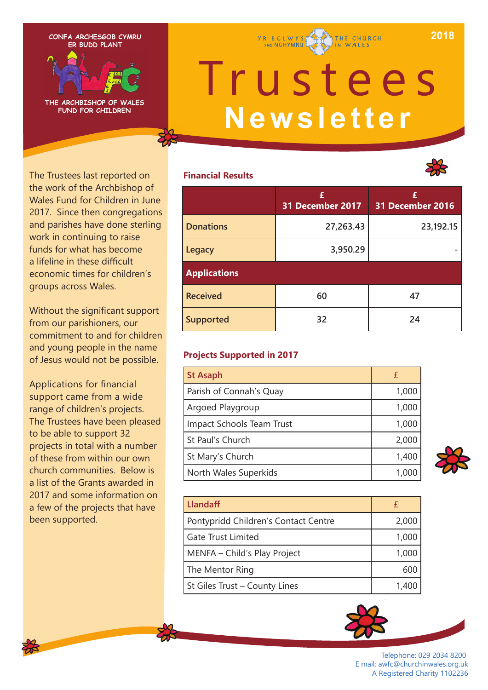**2018**



**THE ARCHBISHOP OF WALES FUND FOR CHILDREN**

# Trustees **Newsletter**

THE CHURCH

**Y R E G L W Y S** 

## **Financial Results**



The Trustees last reported on the work of the Archbishop of Wales Fund for Children in June 2017. Since then congregations and parishes have done sterling work in continuing to raise funds for what has become a lifeline in these difficult economic times for children's groups across Wales.

Without the significant support from our parishioners, our commitment to and for children and young people in the name of Jesus would not be possible.

Applications for financial support came from a wide range of children's projects. The Trustees have been pleased to be able to support 32 projects in total with a number of these from within our own church communities. Below is a list of the Grants awarded in 2017 and some information on a few of the projects that have been supported.

|                     | £<br>31 December 2017 | 31 December 2016 |
|---------------------|-----------------------|------------------|
| <b>Donations</b>    | 27,263.43             | 23,192.15        |
| Legacy              | 3,950.29              |                  |
| <b>Applications</b> |                       |                  |
| <b>Received</b>     | 60                    | 47               |
| <b>Supported</b>    | 32                    | 24               |

## **Projects Supported in 2017**

| <b>St Asaph</b>           |       |
|---------------------------|-------|
| Parish of Connah's Quay   | 1,000 |
| Argoed Playgroup          | 1,000 |
| Impact Schools Team Trust | 1,000 |
| St Paul's Church          | 2,000 |
| St Mary's Church          | 1,400 |
| North Wales Superkids     |       |



| Llandaff                             |       |
|--------------------------------------|-------|
| Pontypridd Children's Contact Centre | 2,000 |
| <b>Gate Trust Limited</b>            | 1,000 |
| MENFA - Child's Play Project         | 1,000 |
| The Mentor Ring                      | 600   |
| St Giles Trust - County Lines        | 1,400 |



Telephone: 029 2034 8200 E mail: awfc@churchinwales.org.uk A Registered Charity 1102236